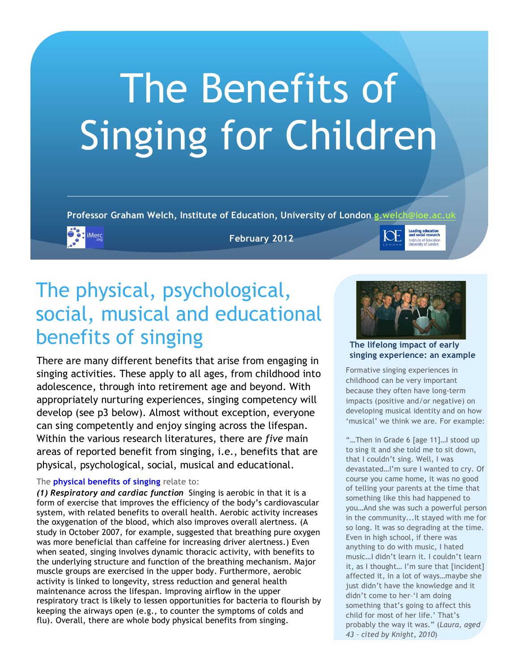# The Benefits of Singing for Children

Professor Graham Welch, Institute of Education, University of London g.welch



**February 2012**

## The physical, psychological, social, musical and educational benefits of singing

There are many different benefits that arise from engaging in singing activities. These apply to all ages, from childhood into adolescence, through into retirement age and beyond. With appropriately nurturing experiences, singing competency will develop (see p3 below). Almost without exception, everyone can sing competently and enjoy singing across the lifespan. Within the various research literatures, there are *five* main areas of reported benefit from singing, i.e., benefits that are physical, psychological, social, musical and educational.

#### The **physical benefits of singing** relate to:

*(1) Respiratory and cardiac function* Singing is aerobic in that it is a form of exercise that improves the efficiency of the body's cardiovascular system, with related benefits to overall health. Aerobic activity increases the oxygenation of the blood, which also improves overall alertness. (A study in October 2007, for example, suggested that breathing pure oxygen was more beneficial than caffeine for increasing driver alertness.) Even when seated, singing involves dynamic thoracic activity, with benefits to the underlying structure and function of the breathing mechanism. Major muscle groups are exercised in the upper body. Furthermore, aerobic activity is linked to longevity, stress reduction and general health maintenance across the lifespan. Improving airflow in the upper respiratory tract is likely to lessen opportunities for bacteria to flourish by keeping the airways open (e.g., to counter the symptoms of colds and flu). Overall, there are whole body physical benefits from singing.



**Leading education**<br>and social researd

nstitute of Educati

**The lifelong impact of early singing experience: an example**

Formative singing experiences in childhood can be very important because they often have long-term impacts (positive and/or negative) on developing musical identity and on how 'musical' we think we are. For example:

"…Then in Grade 6 [age 11]…I stood up to sing it and she told me to sit down, that I couldn't sing. Well, I was devastated…I'm sure I wanted to cry. Of course you came home, it was no good of telling your parents at the time that something like this had happened to you…And she was such a powerful person in the community...It stayed with me for so long. It was so degrading at the time. Even in high school, if there was anything to do with music, I hated music…I didn't learn it. I couldn't learn it, as I thought… I'm sure that [incident] affected it, in a lot of ways…maybe she just didn't have the knowledge and it didn't come to her–'I am doing something that's going to affect this child for most of her life.' That's probably the way it was." (*Laura, aged 43 – cited by Knight, 2010*)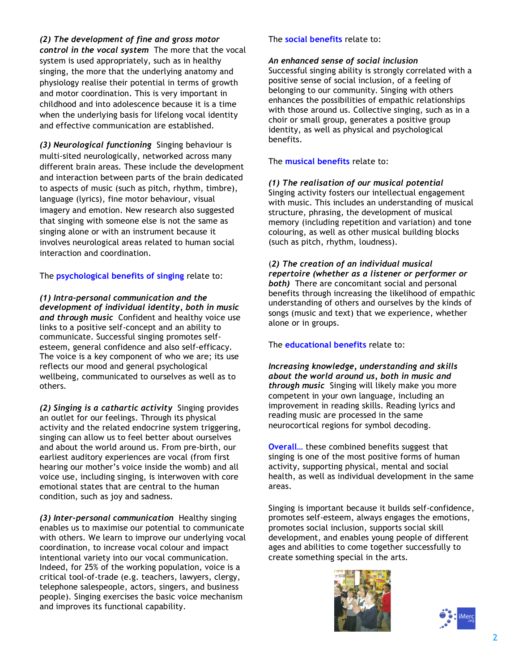*(2) The development of fine and gross motor control in the vocal system* The more that the vocal system is used appropriately, such as in healthy singing, the more that the underlying anatomy and physiology realise their potential in terms of growth and motor coordination. This is very important in childhood and into adolescence because it is a time when the underlying basis for lifelong vocal identity and effective communication are established.

*(3) Neurological functioning* Singing behaviour is multi-sited neurologically, networked across many different brain areas. These include the development and interaction between parts of the brain dedicated to aspects of music (such as pitch, rhythm, timbre), language (lyrics), fine motor behaviour, visual imagery and emotion. New research also suggested that singing with someone else is not the same as singing alone or with an instrument because it involves neurological areas related to human social interaction and coordination.

The **psychological benefits of singing** relate to:

*(1) Intra-personal communication and the development of individual identity, both in music and through music* Confident and healthy voice use links to a positive self-concept and an ability to communicate. Successful singing promotes selfesteem, general confidence and also self-efficacy. The voice is a key component of who we are; its use reflects our mood and general psychological wellbeing, communicated to ourselves as well as to others.

*(2) Singing is a cathartic activity* Singing provides an outlet for our feelings. Through its physical activity and the related endocrine system triggering, singing can allow us to feel better about ourselves and about the world around us. From pre-birth, our earliest auditory experiences are vocal (from first hearing our mother's voice inside the womb) and all voice use, including singing, is interwoven with core emotional states that are central to the human condition, such as joy and sadness.

*(3) Inter-personal communication* Healthy singing enables us to maximise our potential to communicate with others. We learn to improve our underlying vocal coordination, to increase vocal colour and impact intentional variety into our vocal communication. Indeed, for 25% of the working population, voice is a critical tool-of-trade (e.g. teachers, lawyers, clergy, telephone salespeople, actors, singers, and business people). Singing exercises the basic voice mechanism and improves its functional capability.

#### The **social benefits** relate to:

#### *An enhanced sense of social inclusion*

Successful singing ability is strongly correlated with a positive sense of social inclusion, of a feeling of belonging to our community. Singing with others enhances the possibilities of empathic relationships with those around us. Collective singing, such as in a choir or small group, generates a positive group identity, as well as physical and psychological benefits.

The **musical benefits** relate to:

#### *(1) The realisation of our musical potential*

Singing activity fosters our intellectual engagement with music. This includes an understanding of musical structure, phrasing, the development of musical memory (including repetition and variation) and tone colouring, as well as other musical building blocks (such as pitch, rhythm, loudness).

(*2) The creation of an individual musical repertoire (whether as a listener or performer or both)* There are concomitant social and personal benefits through increasing the likelihood of empathic understanding of others and ourselves by the kinds of songs (music and text) that we experience, whether alone or in groups.

The **educational benefits** relate to:

*Increasing knowledge, understanding and skills about the world around us, both in music and through music* Singing will likely make you more competent in your own language, including an improvement in reading skills. Reading lyrics and reading music are processed in the same neurocortical regions for symbol decoding.

**Overall**… these combined benefits suggest that singing is one of the most positive forms of human activity, supporting physical, mental and social health, as well as individual development in the same areas.

Singing is important because it builds self-confidence, promotes self-esteem, always engages the emotions, promotes social inclusion, supports social skill development, and enables young people of different ages and abilities to come together successfully to create something special in the arts.



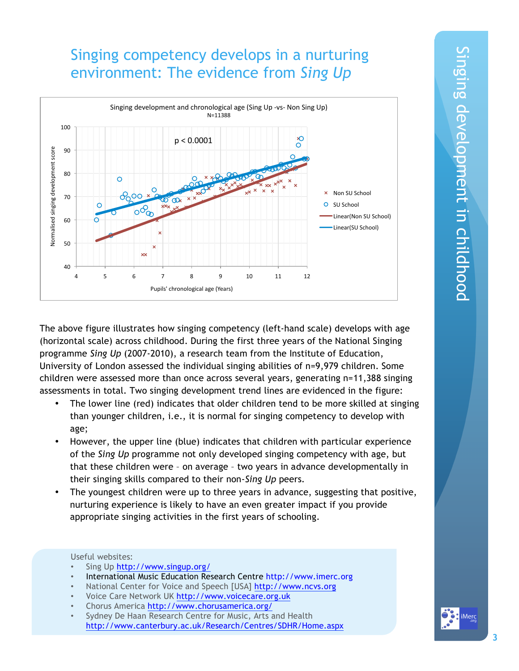## Singing competency develops in a nurturing environment: The evidence from *Sing Up*



The above figure illustrates how singing competency (left-hand scale) develops with age (horizontal scale) across childhood. During the first three years of the National Singing programme *Sing Up* (2007-2010), a research team from the Institute of Education, University of London assessed the individual singing abilities of n=9,979 children. Some children were assessed more than once across several years, generating n=11,388 singing assessments in total. Two singing development trend lines are evidenced in the figure:

- The lower line (red) indicates that older children tend to be more skilled at singing than younger children, i.e., it is normal for singing competency to develop with age;
- However, the upper line (blue) indicates that children with particular experience of the *Sing Up* programme not only developed singing competency with age, but that these children were – on average – two years in advance developmentally in their singing skills compared to their non-*Sing Up* peers.
- The youngest children were up to three years in advance, suggesting that positive, nurturing experience is likely to have an even greater impact if you provide appropriate singing activities in the first years of schooling.

#### Useful websites:

- Sing Up http://www.singup.org/
- International Music Education Research Centre http://www.imerc.org
- National Center for Voice and Speech [USA] http://www.ncvs.org
- Voice Care Network UK http://www.voicecare.org.uk
- Chorus America http://www.chorusamerica.org/
- Sydney De Haan Research Centre for Music, Arts and Health http://www.canterbury.ac.uk/Research/Centres/SDHR/Home.aspx